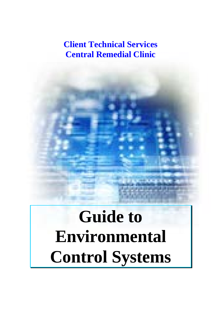# **Client Technical Services Central Remedial Clinic**

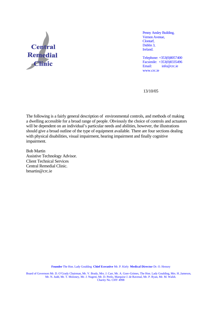

Penny Ansley Building, Vernon Avenue, Clontarf, Dublin 3, Ireland.

Telephone: +353(0)8057400 Facsimile:  $+353(0)8335496$ <br>Email:  $\frac{\text{info@crcie}}{}$  $info@$ crc.ie www.crc.ie

13/10/05

The following is a fairly general description of environmental controls, and methods of making a dwelling accessible for a broad range of people. Obviously the choice of controls and actuators will be dependent on an individual's particular needs and abilities, however, the illustrations should give a broad outline of the type of equipment available. There are four sections dealing with physical disabilities, visual impairment, hearing impairment and finally cognitive impairment.

Bob Martin Assistive Technology Advisor. Client Technical Services Central Remedial Clinic. bmartin@crc.ie

**Founder** The Hon. Lady Goulding **Chief Ececutive** Mr. P. Kiely **Medical Director** Dr. O. Hensey

Board of Governors Mr. D. O'Grady Chairman, Mr. V. Brady, Mrs. J. Carr, Mr. A. Gore-Grimes, The Hon. Lady Goulding, Mrs. H..Jameson, Mr. N. Judd, Mr. T. Moloney, Mr. J. Nugent, Mr. D. Peelo, Marquise J. de Ravenal, Mr. P. Ryan, Mr. M. Walsh. Charity No. CHY 4998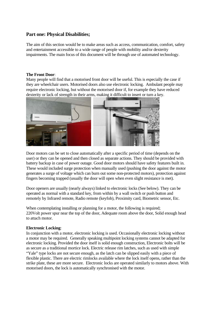## **Part one: Physical Disabilities;**

The aim of this section would be to make areas such as access, communication, comfort, safety and entertainment accessible to a wide range of people with mobility and/or dexterity impairments. The main focus of this document will be through use of automated technology.

## **The Front Door**:

Many people will find that a motorised front door will be useful. This is especially the case if they are wheelchair users. Motorised doors also use electronic locking. Ambulant people may require electronic locking, but without the motorised door if, for example they have reduced dexterity or lack of strength in their arms, making it difficult to insert or turn a key.



Door motors can be set to close automatically after a specific period of time (depends on the user) or they can be opened and then closed as separate actions. They should be provided with battery backup in case of power outage. Good door motors should have safety features built in. These would included surge protection when manually used (pushing the door against the motor generates a surge of voltage which can burn out some non-protected motors), protection against fingers becoming trapped (usually the door will open when even slight resistance is met).

Door openers are usually (nearly always) linked to electronic locks (See below). They can be operated as normal with a standard key, from within by a wall switch or push button and remotely by Infrared remote, Radio remote (keyfob), Proximity card, Biometric sensor, Etc.

When contemplating installing or planning for a motor, the following is required; 220Volt power spur near the top of the door, Adequate room above the door, Solid enough head to attach motor.

## **Electronic Locking**:

In conjunction with a motor, electronic locking is used. Occasionally electronic locking without a motor may be required. Generally speaking multipoint locking systems cannot be adapted for electronic locking. Provided the door itself is solid enough construction, Electronic bolts will be as secure as a traditional mortice lock. Electric release rim latches, such as used with simple "Yale" type locks are not secure enough, as the latch can be slipped easily with a piece of flexible plastic. There are electric rimlocks available where the lock itself opens, rather than the strike plate, these are more secure. Electronic locks are operated similarly to motors above. With motorised doors, the lock is automatically synchronised with the motor.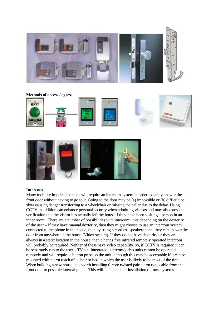





## **Intercom**:

Many mobility impaired persons will require an intercom system in order to safely answer the front door without having to go to it. Going to the door may be (a) impossible or (b) difficult or slow causing danger transferring to a wheelchair or missing the caller due to the delay. Using CCTV in addition can enhance personal security when admitting visitors and may also provide verification that the visitor has actually left the house if they have been visiting a person in an inner room. There are a number of possibilities with intercom units depending on the dexterity of the user – if they have manual dexterity, then they might choose to use an intercom system connected to the phone in the house, then by using a cordless speakerphone, they can answer the door from anywhere in the house (Videx system). If they do not have dexterity or they are always in a static location in the house, then a hands free infrared remotely operated intercom will probably be required. Neither of these have video capability, so, if CCTV is required it can be separately run to the user's TV set. Integrated intercom/video units cannot be operated remotely and will require a button press on the unit, although this may be acceptable if it can be mounted within arm reach of a chair or bed in which the user is likely to be most of the time. When building a new house, it is worth installing 6-core twisted pair alarm type cable from the front door to possible internal points. This will facilitate later installation of most systems.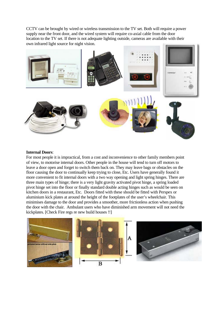CCTV can be brought by wired or wireless transmission to the TV set. Both will require a power supply near the front door, and the wired system will require co-axial cable from the door location to the TV set. If there is not adequate lighting outside, cameras are available with their own infrared light source for night vision.



#### **Internal Doors**:

For most people it is impractical, from a cost and inconvenience to other family members point of view, to motorise internal doors. Other people in the house will tend to turn off motors to leave a door open and forget to switch them back on. They may leave bags or obstacles on the floor causing the door to continually keep trying to close, Etc. Users have generally found it more convenient to fit internal doors with a two way opening and light spring hinges. There are three main types of hinge; there is a very light gravity activated pivot hinge, a spring loaded pivot hinge set into the floor or finally standard double acting hinges such as would be seen on kitchen doors in a restaurant, Etc. Doors fitted with these should be fitted with Perspex or aluminium kick plates at around the height of the footplates of the user's wheelchair. This minimises damage to the door and provides a smoother, more frictionless action when pushing the door with the chair. Ambulant users who have diminished arm movement will not need the kickplates. [Check Fire regs re new build houses !!]

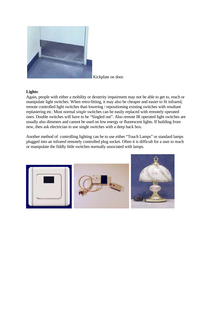

Kickplate on door.

## **Lights**:

Again, people with either a mobility or dexterity impairment may not be able to get to, reach or manipulate light switches. When retro-fitting, it may also be cheaper and easier to fit infrared, remote controlled light switches than lowering / repositioning existing switches with resultant replastering etc. Most normal *single* switches can be easily replaced with remotely operated ones. Double switches will have to be "Singled out". Also remote IR operated light switches are usually also dimmers and cannot be used on low energy or fluorescent lights. If building from new, then ask electrician to use single switches with a deep back box.

Another method of controlling lighting can be to use either "Touch Lamps" or standard lamps plugged into an infrared remotely controlled plug socket. Often it is difficult for a user to reach or manipulate the fiddly little switches normally associated with lamps.

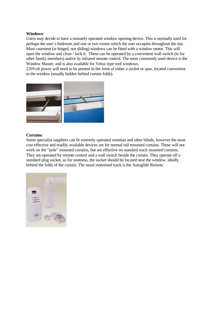## **Windows**:

Users may decide to have a remotely operated window opening device. This is normally used for perhaps the user's bedroom and one or two rooms which the user occupies throughout the day. Most casement (ie hinged, not sliding) windows can be fitted with a window motor. This will open the window and close / lock it. These can be operated by a convenient wall switch (ie for other family members) and/or by infrared remote control. The most commonly used device is the Window Master, and is also available for Velux type roof windows.

220Volt power will need to be present in the form of either a socket or spur, located convenient to the window (usually hidden behind curtain folds).

![](_page_6_Picture_3.jpeg)

#### **Curtains**:

Some specialist suppliers can fit remotely operated venetian and other blinds, however the most cost effective and readily available devices are for normal rail mounted curtains. These will not work on the "pole" mounted curtains, but are effective on standard track mounted curtains. They are operated by remote control and a wall switch beside the curtain. They operate off a standard plug socket, so for neatness, the socket should be located near the window, ideally behind the folds of the curtain. The usual motorised track is the Autoglide Remote.

![](_page_6_Picture_6.jpeg)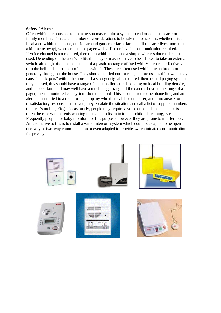#### **Safety / Alerts:**

Often within the house or room, a person may require a system to call or contact a carer or family member. There are a number of considerations to be taken into account, whether it is a local alert within the house, outside around garden or farm, farther still (ie carer lives more than a kilometre away), whether a bell or pager will suffice or is voice communication required. If voice channel is not required, then often within the house a simple wireless doorbell can be used. Depending on the user's ability this may or may not have to be adapted to take an external switch, although often the placement of a plastic rectangle affixed with Velcro can effectively turn the bell push into a sort of "plate switch". These are often used within the bathroom or generally throughout the house. They should be tried out for range before use, as thick walls may cause "blackspots" within the house. If a stronger signal is required, then a small paging system may be used, this should have a range of about a kilometre depending on local building density, and in open farmland may well have a much bigger range. If the carer is beyond the range of a pager, then a monitored call system should be used. This is connected to the phone line, and an alert is transmitted to a monitoring company who then call back the user, and if no answer or unsatisfactory response is received, they escalate the situation and call a list of supplied numbers (ie carer's mobile, Etc.). Occasionally, people may require a voice or sound channel. This is often the case with parents wanting to be able to listen in to their child's breathing, Etc. Frequently people use baby monitors for this purpose, however they are prone to interference. An alternative to this is to install a wired intercom system which could be adapted to be open one-way or two-way communication or even adapted to provide switch initiated communication for privacy.

![](_page_7_Picture_2.jpeg)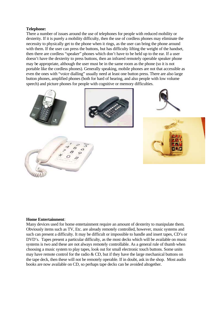## **Telephone:**

There a number of issues around the use of telephones for people with reduced mobility or dexterity. If it is purely a mobility difficulty, then the use of cordless phones may eliminate the necessity to physically get to the phone when it rings, as the user can bring the phone around with them. If the user can press the buttons, but has difficulty lifting the weight of the handset, then there are cordless "speaker" phones which don't have to be held up to the ear. If a user doesn't have the dexterity to press buttons, then an infrared remotely operable speaker phone may be appropriate, although the user must be in the same room as the phone (so it is not portable like the cordless phones). Generally speaking, mobile phones are not that accessible as even the ones with "voice dialling" usually need at least one button press. There are also large button phones, amplified phones (both for hard of hearing, and also people with low volume speech) and picture phones for people with cognitive or memory difficulties.

![](_page_8_Picture_2.jpeg)

![](_page_8_Picture_3.jpeg)

![](_page_8_Picture_4.jpeg)

#### **Home Entertainment**:

Many devices used for home entertainment require an amount of dexterity to manipulate them. Obviously items such as TV, Etc. are already remotely controlled, however, music systems and such can present a difficulty. It may be difficult or impossible to handle and insert tapes, CD's or DVD's. Tapes present a particular difficulty, as the most decks which will be available on music systems is two and these are not always remotely controllable. As a general rule of thumb when choosing a music system to play tapes, look out for small electronic touch buttons. Some units may have remote control for the radio & CD, but if they have the large mechanical buttons on the tape deck, then these will not be remotely operable. If in doubt, ask in the shop. Most audio books are now available on CD, so perhaps tape decks can be avoided altogether.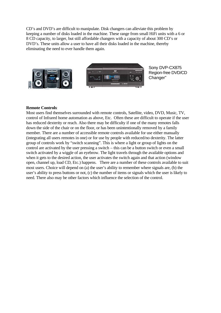CD's and DVD's are difficult to manipulate. Disk changers can alleviate this problem by keeping a number of disks loaded in the machine. These range from small HiFi units with a 6 or 8 CD capacity, to larger, but still affordable changers with a capacity of about 300 CD's or DVD's. These units allow a user to have all their disks loaded in the machine, thereby eliminating the need to ever handle them again.

![](_page_9_Picture_1.jpeg)

Sony DVP-CX875 Region-free DVD/CD Changer"

## **Remote Controls**:

Most users find themselves surrounded with remote controls, Satellite, video, DVD, Music, TV, control of Infrared home automation as above, Etc. Often these are difficult to operate if the user has reduced dexterity or reach. Also there may be difficulty if one of the many remotes falls down the side of the chair or on the floor, or has been unintentionally removed by a family member. There are a number of accessible remote controls available for use either manually (integrating all users remotes in one) or for use by people with reduced/no dexterity. The latter group of controls work by "switch scanning". This is where a light or group of lights on the control are activated by the user pressing a switch – this can be a button switch or even a small switch activated by a wiggle of an eyebrow. The light travels through the available options and when it gets to the desired action, the user activates the switch again and that action (window open, channel up, load CD, Etc.) happens. There are a number of these controls available to suit most users. Choice will depend on (a) the user's ability to remember where signals are, (b) the user's ability to press buttons or not, (c) the number of items or signals which the user is likely to need. There also may be other factors which influence the selection of the control.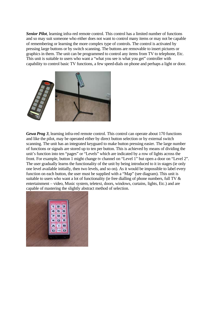*Senior Pilot*, learning infra-red remote control. This control has a limited number of functions and so may suit someone who either does not want to control many items or may not be capable of remembering or learning the more complex type of controls. The control is activated by pressing large buttons or by switch scanning. The buttons are removable to insert pictures or graphics in them. The unit can be programmed to control any items from TV to telephone, Etc. This unit is suitable to users who want a "what you see is what you get" controller with capability to control basic TV functions, a few speed-dials on phone and perhaps a light or door.

![](_page_10_Picture_1.jpeg)

*Gewa Prog 3*, learning infra-red remote control. This control can operate about 170 functions and like the pilot, may be operated either by direct button selection or by external switch scanning. The unit has an integrated keyguard to make button pressing easier. The large number of functions or signals are stored up to ten per button. This is achieved by means of dividing the unit's function into ten "pages" or "Levels" which are indicated by a row of lights across the front. For example, button 1 might change tv channel on "Level 1" but open a door on "Level 2". The user gradually learns the functionality of the unit by being introduced to it in stages (ie only one level available initially, then two levels, and so on). As it would be impossible to label every function on each button, the user must be supplied with a "Map" (see diagram). This unit is suitable to users who want a lot of functionality (ie free dialling of phone numbers, full TV & entertainment – video, Music system, teletext, doors, windows, curtains, lights, Etc.) and are capable of mastering the slightly abstract method of selection.

![](_page_10_Picture_3.jpeg)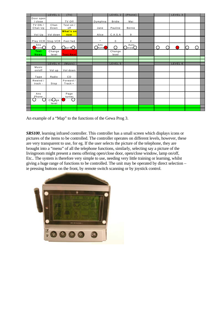|                      | LEVEL 1           | (TV)                  |                        | LEVEL 2         | (Phone)                    |                 | LEVEL 3 |  |
|----------------------|-------------------|-----------------------|------------------------|-----------------|----------------------------|-----------------|---------|--|
| Door open<br>/ close |                   | TV Off                | Dymphna                | <b>Bridie</b>   | Mai                        |                 |         |  |
| TV ON /<br>Chan Up   | Chan<br>Down      | Text on /<br>off      | Jane                   | Pauline         | Bernie                     |                 |         |  |
| Vol Up               | Vol down          | What's on<br>now      | Alice                  | C.A.S.A         | 9                          |                 |         |  |
|                      | Play VCR Stop VCR | Fast fwd              | $^\star$               | $\mathbf 0$     | #                          |                 |         |  |
| Ans<br>$h$ one $O$   | $\bigcap$         | $Q_{\mathrm{ast}}$ RO | Ans<br>$\bigcirc$ hone | $\sqrt{ }$      | Auto_<br>$\bigcup$ nsw $O$ | $\bigcirc$<br>∩ |         |  |
| Text<br>News         | Change<br>level   | <b>Text Next</b>      |                        | Change<br>level |                            |                 |         |  |
|                      |                   |                       |                        |                 |                            |                 |         |  |
|                      | LEVEL 4           |                       |                        | LEVEL 5         |                            |                 | LEVEL 6 |  |
| Music<br>on/off      | Vol up            | (Music)<br>Vol down   |                        |                 |                            |                 |         |  |
| Tape                 | Radio             | CD                    |                        |                 |                            |                 |         |  |
| Rewind /<br>track -  | Stop              | Forward /<br>Track +  |                        |                 |                            |                 |         |  |
|                      |                   |                       |                        |                 |                            |                 |         |  |
| Ans<br>Phone         |                   | Page<br>turner        |                        |                 |                            |                 |         |  |
|                      | ChOge<br>level    |                       |                        |                 |                            |                 |         |  |
|                      |                   |                       |                        |                 |                            |                 |         |  |

An example of a "Map" to the functions of the Gewa Prog 3.

*SRS100*, learning infrared controller. This controller has a small screen which displays icons or pictures of the items to be controlled. The controller operates on different levels, however, these are very transparent to use, for eg. If the user selects the picture of the telephone, they are brought into a "menu" of all the telephone functions, similarly, selecting say a picture of the livingroom might present a menu offering open/close door, open/close window, lamp on/off, Etc.. The system is therefore very simple to use, needing very little training or learning, whilst giving a huge range of functions to be controlled. The unit may be operated by direct selection – ie pressing buttons on the front, by remote switch scanning or by joystick control.

![](_page_11_Picture_3.jpeg)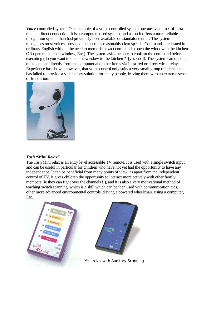*Voice* controlled system. One example of a voice controlled system operates via a mix of infrared and direct connection. It is a computer based system, and as such offers a more reliable recognition system than had previously been available on standalone units. The system recognises most voices, provided the user has reasonably clear speech. Commands are issued in ordinary English without the need to memorise exact commands (open the window in the kitchen OR open the kitchen window, Etc.). The system asks the user to confirm the command before executing (do you want to open the window in the kitchen ? [yes / no]). The system can operate the telephone directly from the computer and other items via infra-red or direct wired relays. Experience has shown, however, that voice control only suits a very small group of clients and has failed to provide a satisfactory solution for many people, leaving them with an extreme sense of frustration.

![](_page_12_Picture_1.jpeg)

## *Tash "Mini Relax"*

The Tash Mini relax is an entry level accessible TV remote. It is used with a single switch input and can be useful in particular for children who have not yet had the opportunity to have any independence. It can be beneficial from many points of view, as apart from the independent control of TV, it gives children the opportunity to interact more actively with other family members (ie they can fight over the channels !!), and it is also a very motivational method of teaching switch scanning, which is a skill which can be then used with communication aids, other more advanced environmental controls, driving a powered wheelchair, using a computer, Etc.

![](_page_12_Picture_4.jpeg)

![](_page_12_Picture_5.jpeg)

Mini relax with Auditory Scanning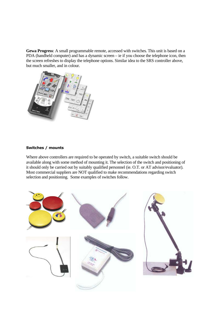**Gewa Progress**: A small programmable remote, accessed with switches. This unit is based on a PDA (handheld computer) and has a dynamic screen – ie if you choose the telephone icon, then the screen refreshes to display the telephone options. Similar idea to the SRS controller above, but much smaller, and in colour.

![](_page_13_Picture_1.jpeg)

## **Switches / mounts**

Where above controllers are required to be operated by switch, a suitable switch should be available along with some method of mounting it. The selection of the switch and positioning of it should only be carried out by suitably qualified personnel (ie. O.T. or AT advisor/evaluator). Most commercial suppliers are NOT qualified to make recommendations regarding switch selection and positioning. Some examples of switches follow.

![](_page_13_Picture_4.jpeg)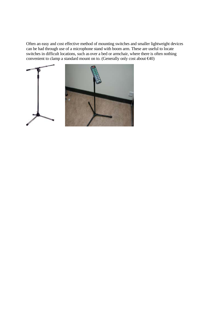Often an easy and cost effective method of mounting switches and smaller lightweight devices can be had through use of a microphone stand with boom arm. These are useful to locate switches in difficult locations, such as over a bed or armchair, where there is often nothing convenient to clamp a standard mount on to. (Generally only cost about €40)

![](_page_14_Picture_1.jpeg)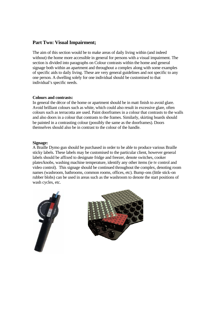## **Part Two: Visual Impairment;**

The aim of this section would be to make areas of daily living within (and indeed without) the home more accessible in general for persons with a visual impairment. The section is divided into paragraphs on Colour contrasts within the home and general signage both within an apartment and throughout a complex along with some examples of specific aids to daily living. These are very general guidelines and not specific to any one person. A dwelling solely for one individual should be customised to that individual's specific needs.

## **Colours and contrasts:**

In general the décor of the home or apartment should be in matt finish to avoid glare. Avoid brilliant colours such as white, which could also result in excessive glare, often colours such as terracotta are used. Paint doorframes in a colour that contrasts to the walls and also doors in a colour that contrasts to the frames. Similarly, skirting boards should be painted in a contrasting colour (possibly the same as the doorframes). Doors themselves should also be in contrast to the colour of the handle.

#### **Signage:**

A Braille Dymo gun should be purchased in order to be able to produce various Braille sticky labels. These labels may be customised to the particular client, however general labels should be affixed to designate fridge and freezer, denote switches, cooker plates/knobs, washing machine temperature, identify any other items (ie tv control and video control). This signage should be continued throughout the complex, denoting room names (washroom, bathrooms, common rooms, offices, etc). Bump-ons (little stick-on rubber blobs) can be used in areas such as the washroom to denote the start positions of wash cycles, etc.

![](_page_15_Picture_6.jpeg)

![](_page_15_Picture_7.jpeg)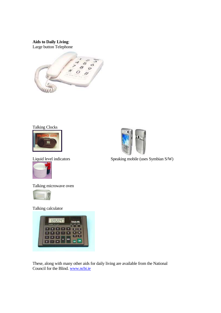## **Aids to Daily Living**:

Large button Telephone

![](_page_16_Picture_2.jpeg)

![](_page_16_Picture_3.jpeg)

![](_page_16_Picture_4.jpeg)

![](_page_16_Picture_6.jpeg)

Talking microwave oven

![](_page_16_Picture_8.jpeg)

Talking calculator

![](_page_16_Picture_10.jpeg)

These, along with many other aids for daily living are available from the National Council for the Blind. www.ncbi.ie

![](_page_16_Picture_12.jpeg)

Liquid level indicators Speaking mobile (uses Symbian S/W)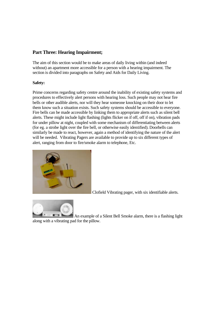## **Part Three: Hearing Impairment;**

The aim of this section would be to make areas of daily living within (and indeed without) an apartment more accessible for a person with a hearing impairment. The section is divided into paragraphs on Safety and Aids for Daily Living.

## **Safety:**

Prime concerns regarding safety centre around the inability of existing safety systems and procedures to effectively alert persons with hearing loss. Such people may not hear fire bells or other audible alerts, nor will they hear someone knocking on their door to let them know such a situation exists. Such safety systems should be accessible to everyone. Fire bells can be made accessible by linking them to appropriate alerts such as silent bell alerts. These might include light flashing (lights flicker on if off, off if on), vibration pads for under pillow at night, coupled with some mechanism of differentiating between alerts (for eg. a strobe light over the fire bell, or otherwise easily identified). Doorbells can similarly be made to react, however, again a method of identifying the nature of the alert will be needed. Vibrating Pagers are available to provide up to six different types of alert, ranging from door to fire/smoke alarm to telephone, Etc.

![](_page_17_Picture_4.jpeg)

Clofield Vibrating pager, with six identifiable alerts.

![](_page_17_Picture_6.jpeg)

 An example of a Silent Bell Smoke alarm, there is a flashing light along with a vibrating pad for the pillow.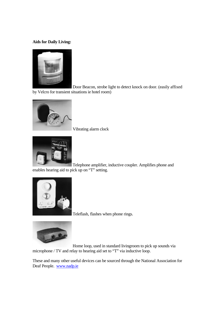## **Aids for Daily Living:**

![](_page_18_Picture_1.jpeg)

 Door Beacon, strobe light to detect knock on door. (easily affixed by Velcro for transient situations ie hotel room)

![](_page_18_Picture_3.jpeg)

Vibrating alarm clock

![](_page_18_Picture_5.jpeg)

 Telephone amplifier, inductive coupler. Amplifies phone and enables hearing aid to pick up on "T" setting.

![](_page_18_Picture_7.jpeg)

Teleflash, flashes when phone rings.

![](_page_18_Picture_9.jpeg)

 Home loop, used in standard livingroom to pick up sounds via microphone / TV and relay to hearing aid set to "T" via inductive loop.

These and many other useful devices can be sourced through the National Association for Deaf People. www.nadp.ie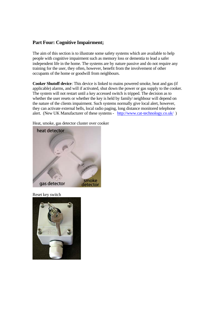## **Part Four: Cognitive Impairment;**

The aim of this section is to illustrate some safety systems which are available to help people with cognitive impairment such as memory loss or dementia to lead a safer independent life in the home. The systems are by nature passive and do not require any training for the user, they often, however, benefit from the involvement of other occupants of the home or goodwill from neighbours.

**Cooker Shutoff device**: This device is linked to mains powered smoke, heat and gas (if applicable) alarms, and will if activated, shut down the power or gas supply to the cooker. The system will not restart until a key accessed switch is tripped. The decision as to whether the user resets or whether the key is held by family/ neighbour will depend on the nature of the clients impairment. Such systems normally give local alert, however, they can activate external bells, local radio paging, long distance monitored telephone alert. (New UK Manufacturer of these systems - http://www.cat-technology.co.uk/ )

Heat, smoke, gas detector cluster over cooker

![](_page_19_Picture_4.jpeg)

Reset key switch

![](_page_19_Picture_6.jpeg)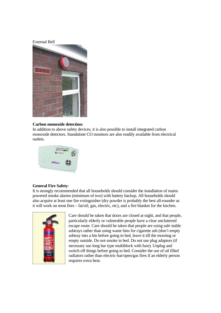### External Bell

![](_page_20_Picture_1.jpeg)

## **Carbon monoxide detection:**

In addition to above safety devices, it is also possible to install integrated carbon monoxide detectors. Standalone CO monitors are also readily available from electrical outlets.

![](_page_20_Picture_4.jpeg)

## **General Fire Safety**:

It is strongly recommended that all households should consider the installation of mains powered smoke alarms (minimum of two) with battery backup. All households should also acquire at least one fire extinguisher (dry powder is probably the best all-rounder as it will work on most fires – fat/oil, gas, electric, etc), and a fire blanket for the kitchen.

![](_page_20_Picture_7.jpeg)

Care should be taken that doors are closed at night, and that people, particularly elderly or vulnerable people have a clear uncluttered escape route. Care should be taken that people are using safe stable ashtrays rather than using waste bins for cigarette ash (don't empty ashtray into a bin before going to bed, leave it till the morning or empty outside. Do not smoke in bed. Do not use plug adaptors (if necessary use long bar type multiblock with fuse). Unplug and switch off things before going to bed. Consider the use of oil filled radiators rather than electric-bar/open/gas fires if an elderly person requires extra heat.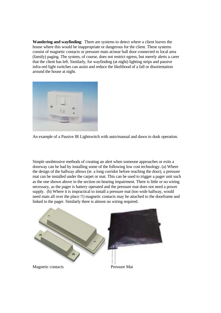**Wandering and wayfinding**: There are systems to detect where a client leaves the house where this would be inappropriate or dangerous for the client. These systems consist of magnetic contacts or pressure mats at/near hall door connected to local area (family) paging. The system, of course, does not restrict egress, but merely alerts a carer that the client has left. Similarly, for wayfinding (at night) lighting strips and passive infra-red light switches can assist and reduce the likelihood of a fall or disorientation around the house at night.

![](_page_21_Picture_1.jpeg)

![](_page_21_Figure_2.jpeg)

Simple unobtrusive methods of creating an alert when someone approaches or exits a doorway can be had by installing some of the following low cost technology. (a) Where the design of the hallway allows (ie. a long corridor before reaching the door), a pressure mat can be installed under the carpet or mat. This can be used to trigger a pager unit such as the one shown above in the section on hearing impairment. There is little or no wiring necessary, as the pager is battery operated and the pressure mat does not need a power supply. (b) Where it is impractical to install a pressure mat (too wide hallway, would need mats all over the place !!) magnetic contacts may be attached to the doorframe and linked to the pager. Similarly there is almost no wiring required.

![](_page_21_Picture_4.jpeg)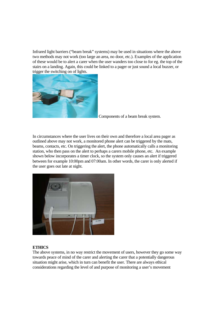Infrared light barriers ("beam break" systems) may be used in situations where the above two methods may not work (too large an area, no door, etc.). Examples of the application of these would be to alert a carer when the user wanders too close to for eg. the top of the stairs on a landing. Again, this could be linked to a pager or just sound a local buzzer, or trigger the switching on of lights.

![](_page_22_Picture_1.jpeg)

Components of a beam break system.

In circumstances where the user lives on their own and therefore a local area pager as outlined above may not work, a monitored phone alert can be triggered by the mats, beams, contacts, etc. On triggering the alert, the phone automatically calls a monitoring station, who then pass on the alert to perhaps a carers mobile phone, etc. An example shown below incorporates a timer clock, so the system only causes an alert if triggered between for example 10:00pm and 07:00am. In other words, the carer is only alerted if the user goes out late at night.

![](_page_22_Picture_4.jpeg)

## **ETHICS**

The above systems, in no way restrict the movement of users, however they go some way towards peace of mind of the carer and alerting the carer that a potentially dangerous situation might arise, which in turn can benefit the user. There are always ethical considerations regarding the level of and purpose of monitoring a user's movement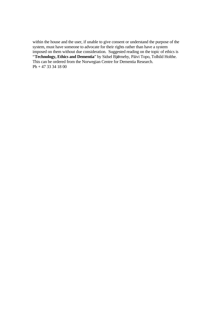within the house and the user, if unable to give consent or understand the purpose of the system, must have someone to advocate for their rights rather than have a system imposed on them without due consideration. Suggested reading on the topic of ethics is "**Technology, Ethics and Dementia**" by Sidsel Bjørneby, Päivi Topo, Tolhild Holthe. This can be ordered from the Norwegian Centre for Dementia Research. Ph + 47 33 34 18 00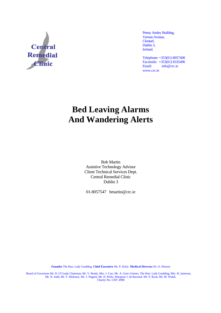![](_page_24_Picture_0.jpeg)

Penny Ansley Building, Vernon Avenue, Clontarf, Dublin 3, Ireland.

Telephone: +353(01) 8057400 Facsimile:  $+353(01) 8335496$ <br>Email:  $\frac{\text{info@crcie}}{}$ info@crc.ie www.crc.ie

## **Bed Leaving Alarms And Wandering Alerts**

Bob Martin Assistive Technology Advisor Client Technical Services Dept. Central Remedial Clinic Dublin 3

01-8057547 bmartin@crc.ie

**Founder** The Hon. Lady Goulding **Chief Executive** Mr. P. Kiely **Medical Director** Dr. O. Hensey

Board of Governors Mr. D. O'Grady Chairman, Mr. V. Brady, Mrs. J. Carr, Mr. A. Gore-Grimes, The Hon. Lady Goulding, Mrs. H..Jameson, Mr. N. Judd, Mr. T. Moloney, Mr. J. Nugent, Mr. D. Peelo, Marquise J. de Ravenal, Mr. P. Ryan, Mr. M. Walsh. Charity No. CHY 4998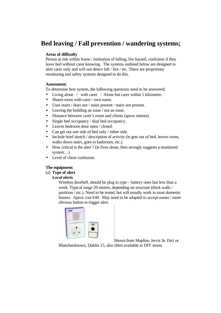## **Bed leaving / Fall prevention / wandering systems;**

## **Areas of difficulty**

Person at risk within home / institution of falling, fire hazard, confusion if they leave bed without carer knowing. The systems outlined below are designed to alert carer only and will not detect fall / fire / etc. There are proprietary monitoring and safety systems designed to do this.

## **Assessment**;

To determine best system, the following questions need to be answered;

- Living alone / with carer / Alone but carer within 1 kilometre.
- Shares room with carer / own room.
- Uses stairs / does not / stairs present / stairs not present.
- Leaving the building an issue / not an issue.
- Distance between carer's room and clients (aprox metres).
- Single bed occupancy / dual bed occupancy.
- Leaves bedroom door open / closed.
- Can get out one side of bed only / either side.
- Include brief sketch / description of activity (ie gets out of bed, leaves room, walks down stairs, goes to bathroom, etc.).
- How critical is the alert ? (ie lives alone, then strongly suggests a monitored system…)
- Level of client confusion.

## **The equipment**;

(a) **Type of alert**.

## *Local alerts*

Wireless doorbell, should be plug in type – battery ones last less than a week. Typical range 20 metres, depending on structure (thick walls / partition / etc.). Need to be tested, but will usually work in most domestic houses. Aprox cost  $\epsilon 40$ . May need to be adapted to accept easier / more obvious button to trigger alert.

![](_page_25_Picture_20.jpeg)

Shown from Maplins, Jervis St. Dn1 or

Blanchardstown, Dublin 15, also often available in DIY stores.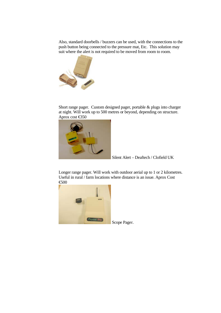Also, standard doorbells / buzzers can be used, with the connections to the push button being connected to the pressure mat, Etc. This solution may suit where the alert is not required to be moved from room to room.

![](_page_26_Picture_1.jpeg)

Short range pager. Custom designed pager, portable & plugs into charger at night. Will work up to 500 metres or beyond, depending on structure. Aprox cost €350

![](_page_26_Picture_3.jpeg)

Silent Alert – Deaftech / Clofield UK

Longer range pager. Will work with outdoor aerial up to 1 or 2 kilometres. Useful in rural / farm locations where distance is an issue. Aprox Cost €500

![](_page_26_Picture_6.jpeg)

Scope Pager.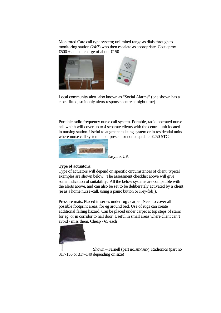Monitored Care call type system; unlimited range as dials through to monitoring station (24/7) who then escalate as appropriate. Cost aprox  $\text{\textsterling}00$  + annual charge of about  $\text{\textsterling}50$ 

![](_page_27_Picture_1.jpeg)

Local community alert, also known as "Social Alarms" (one shown has a clock fitted, so it only alerts response centre at night time)

Portable radio frequency nurse call system. Portable, radio operated nurse call which will cover up to 4 separate clients with the central unit located in nursing station. Useful to augment existing system or in residential units where nurse call system is not present or not adaptable. £250 STG

![](_page_27_Picture_4.jpeg)

#### **Type of actuators**;

Type of actuators will depend on specific circumstances of client, typical examples are shown below. The assessment checklist above will give some indication of suitability. All the below systems are compatible with the alerts above, and can also be set to be deliberately activated by a client (ie as a home nurse-call, using a panic button or Key-fob)).

Pressure mats. Placed in series under rug / carpet. Need to cover all possible footprint areas, for eg around bed. Use of rugs can create additional falling hazard. Can be placed under carpet at top steps of stairs for eg. or in corridor to hall door. Useful in small areas where client can't avoid / miss them. Cheap - €5 each

![](_page_27_Picture_8.jpeg)

 Shown – Farnell (part no.3509280 ), Radionics (part no 317-156 or 317-140 depending on size)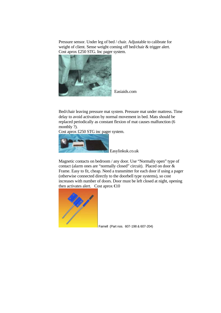Pressure sensor. Under leg of bed / chair. Adjustable to calibrate for weight of client. Sense weight coming off bed/chair & trigger alert. Cost aprox £250 STG. Inc pager system.

![](_page_28_Picture_1.jpeg)

Easiaids.com

Bed/chair leaving pressure mat system. Pressure mat under mattress. Time delay to avoid activation by normal movement in bed. Mats should be replaced periodically as constant flexion of mat causes malfunction (6 monthly ?).

Cost aprox £250 STG inc pager system.

![](_page_28_Picture_5.jpeg)

Easylinkuk.co.uk

Magnetic contacts on bedroom / any door. Use "Normally open" type of contact (alarm ones are "normally closed" circuit). Placed on door & Frame. Easy to fit, cheap. Need a transmitter for each door if using a pager (otherwise connected directly to the doorbell type systems), so cost increases with number of doors. Door must be left closed at night, opening then activates alert. Cost aprox  $\bigoplus$  0

![](_page_28_Picture_8.jpeg)

Farnell (Part nos. 607-198 & 607-204)